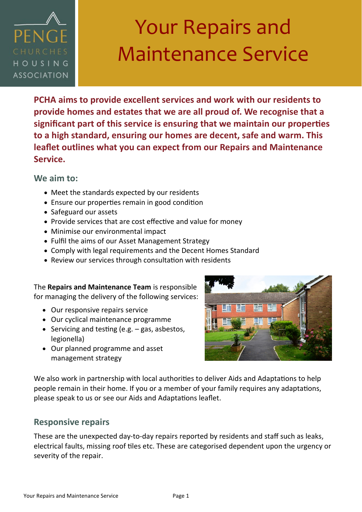

# Your Repairs and Maintenance Service

**PCHA aims to provide excellent services and work with our residents to provide homes and estates that we are all proud of. We recognise that a significant part of this service is ensuring that we maintain our properties to a high standard, ensuring our homes are decent, safe and warm. This leaflet outlines what you can expect from our Repairs and Maintenance Service.**

**We aim to:**

- Meet the standards expected by our residents
- Ensure our properties remain in good condition
- Safeguard our assets
- Provide services that are cost effective and value for money
- Minimise our environmental impact
- Fulfil the aims of our Asset Management Strategy
- Comply with legal requirements and the Decent Homes Standard
- Review our services through consultation with residents

The **Repairs and Maintenance Team** is responsible for managing the delivery of the following services:

- Our responsive repairs service
- Our cyclical maintenance programme
- Servicing and testing (e.g. gas, asbestos, legionella)
- Our planned programme and asset management strategy



We also work in partnership with local authorities to deliver Aids and Adaptations to help people remain in their home. If you or a member of your family requires any adaptations, please speak to us or see our Aids and Adaptations leaflet.

### **Responsive repairs**

These are the unexpected day-to-day repairs reported by residents and staff such as leaks, electrical faults, missing roof tiles etc. These are categorised dependent upon the urgency or severity of the repair.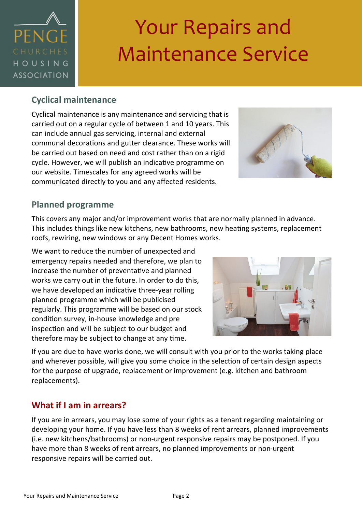

# Your Repairs and Maintenance Service

### **Cyclical maintenance**

Cyclical maintenance is any maintenance and servicing that is carried out on a regular cycle of between 1 and 10 years. This can include annual gas servicing, internal and external communal decorations and gutter clearance. These works will be carried out based on need and cost rather than on a rigid cycle. However, we will publish an indicative programme on our website. Timescales for any agreed works will be communicated directly to you and any affected residents.



### **Planned programme**

This covers any major and/or improvement works that are normally planned in advance. This includes things like new kitchens, new bathrooms, new heating systems, replacement roofs, rewiring, new windows or any Decent Homes works.

We want to reduce the number of unexpected and emergency repairs needed and therefore, we plan to increase the number of preventative and planned works we carry out in the future. In order to do this, we have developed an indicative three-year rolling planned programme which will be publicised regularly. This programme will be based on our stock condition survey, in-house knowledge and pre inspection and will be subject to our budget and therefore may be subject to change at any time.



If you are due to have works done, we will consult with you prior to the works taking place and wherever possible, will give you some choice in the selection of certain design aspects for the purpose of upgrade, replacement or improvement (e.g. kitchen and bathroom replacements).

## **What if I am in arrears?**

If you are in arrears, you may lose some of your rights as a tenant regarding maintaining or developing your home. If you have less than 8 weeks of rent arrears, planned improvements (i.e. new kitchens/bathrooms) or non-urgent responsive repairs may be postponed. If you have more than 8 weeks of rent arrears, no planned improvements or non-urgent responsive repairs will be carried out.